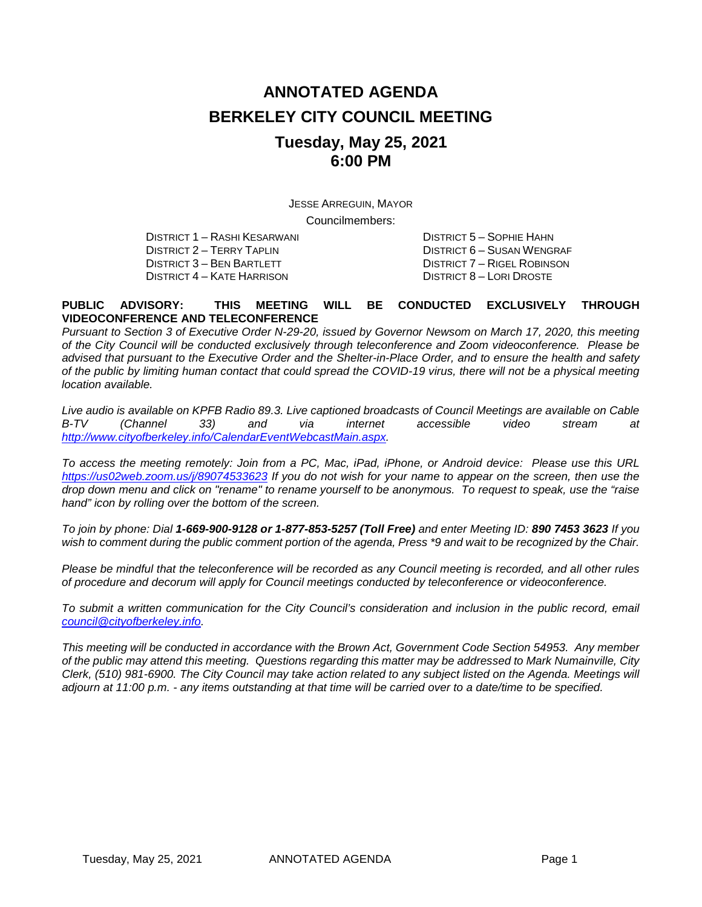# **ANNOTATED AGENDA BERKELEY CITY COUNCIL MEETING Tuesday, May 25, 2021 6:00 PM**

JESSE ARREGUIN, MAYOR

Councilmembers:

DISTRICT 2 – TERRY TAPLIN DISTRICT 6 – SUSAN WENGRAF DISTRICT 4 – KATE HARRISON

DISTRICT 1 – RASHI KESARWANI DISTRICT 5 – SOPHIE HAHN DISTRICT 7 – RIGEL ROBINSON<br>DISTRICT 8 – LORI DROSTE

#### **PUBLIC ADVISORY: THIS MEETING WILL BE CONDUCTED EXCLUSIVELY THROUGH VIDEOCONFERENCE AND TELECONFERENCE**

*Pursuant to Section 3 of Executive Order N-29-20, issued by Governor Newsom on March 17, 2020, this meeting of the City Council will be conducted exclusively through teleconference and Zoom videoconference. Please be advised that pursuant to the Executive Order and the Shelter-in-Place Order, and to ensure the health and safety of the public by limiting human contact that could spread the COVID-19 virus, there will not be a physical meeting location available.* 

*Live audio is available on KPFB Radio 89.3. Live captioned broadcasts of Council Meetings are available on Cable B-TV (Channel 33) and via internet accessible video stream at [http://www.cityofberkeley.info/CalendarEventWebcastMain.aspx.](http://www.cityofberkeley.info/CalendarEventWebcastMain.aspx)*

*To access the meeting remotely: Join from a PC, Mac, iPad, iPhone, or Android device: Please use this URL <https://us02web.zoom.us/j/89074533623> If you do not wish for your name to appear on the screen, then use the drop down menu and click on "rename" to rename yourself to be anonymous. To request to speak, use the "raise hand" icon by rolling over the bottom of the screen.* 

*To join by phone: Dial 1-669-900-9128 or 1-877-853-5257 (Toll Free) and enter Meeting ID: 890 7453 3623 If you*  wish to comment during the public comment portion of the agenda, Press \*9 and wait to be recognized by the Chair.

*Please be mindful that the teleconference will be recorded as any Council meeting is recorded, and all other rules of procedure and decorum will apply for Council meetings conducted by teleconference or videoconference.*

To submit a written communication for the City Council's consideration and inclusion in the public record, email *[council@cityofberkeley.info.](mailto:council@cityofberkeley.info)*

*This meeting will be conducted in accordance with the Brown Act, Government Code Section 54953. Any member of the public may attend this meeting. Questions regarding this matter may be addressed to Mark Numainville, City Clerk, (510) 981-6900. The City Council may take action related to any subject listed on the Agenda. Meetings will adjourn at 11:00 p.m. - any items outstanding at that time will be carried over to a date/time to be specified.*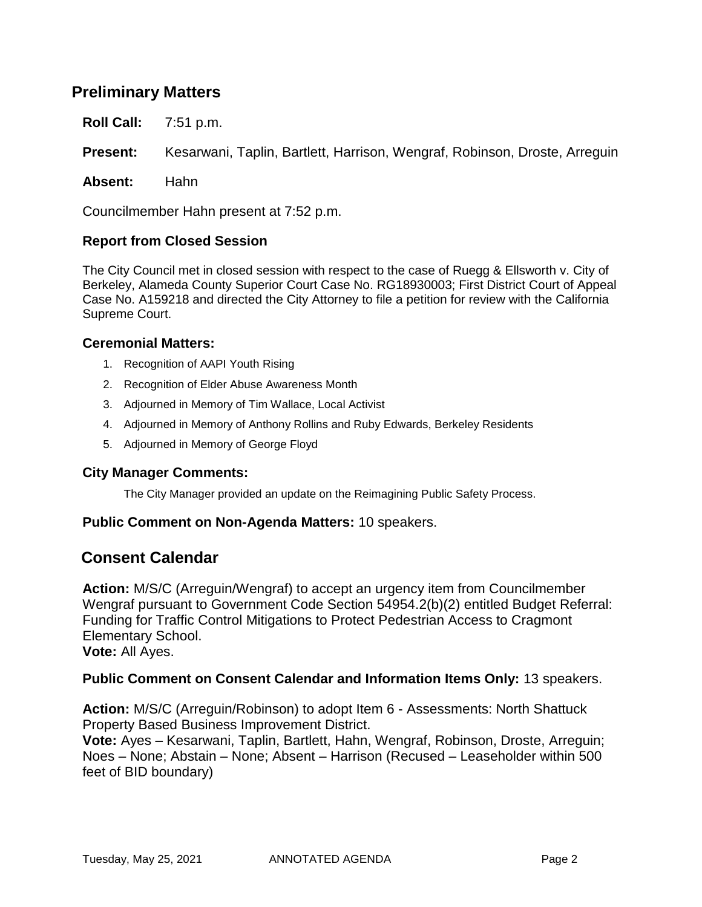## **Preliminary Matters**

**Roll Call:** 7:51 p.m.

**Present:** Kesarwani, Taplin, Bartlett, Harrison, Wengraf, Robinson, Droste, Arreguin

**Absent:** Hahn

Councilmember Hahn present at 7:52 p.m.

#### **Report from Closed Session**

The City Council met in closed session with respect to the case of Ruegg & Ellsworth v. City of Berkeley, Alameda County Superior Court Case No. RG18930003; First District Court of Appeal Case No. A159218 and directed the City Attorney to file a petition for review with the California Supreme Court.

#### **Ceremonial Matters:**

- 1. Recognition of AAPI Youth Rising
- 2. Recognition of Elder Abuse Awareness Month
- 3. Adjourned in Memory of Tim Wallace, Local Activist
- 4. Adjourned in Memory of Anthony Rollins and Ruby Edwards, Berkeley Residents
- 5. Adjourned in Memory of George Floyd

#### **City Manager Comments:**

The City Manager provided an update on the Reimagining Public Safety Process.

#### **Public Comment on Non-Agenda Matters:** 10 speakers.

#### **Consent Calendar**

**Action:** M/S/C (Arreguin/Wengraf) to accept an urgency item from Councilmember Wengraf pursuant to Government Code Section 54954.2(b)(2) entitled Budget Referral: Funding for Traffic Control Mitigations to Protect Pedestrian Access to Cragmont Elementary School.

**Vote:** All Ayes.

#### **Public Comment on Consent Calendar and Information Items Only:** 13 speakers.

**Action:** M/S/C (Arreguin/Robinson) to adopt Item 6 - Assessments: North Shattuck Property Based Business Improvement District.

**Vote:** Ayes – Kesarwani, Taplin, Bartlett, Hahn, Wengraf, Robinson, Droste, Arreguin; Noes – None; Abstain – None; Absent – Harrison (Recused – Leaseholder within 500 feet of BID boundary)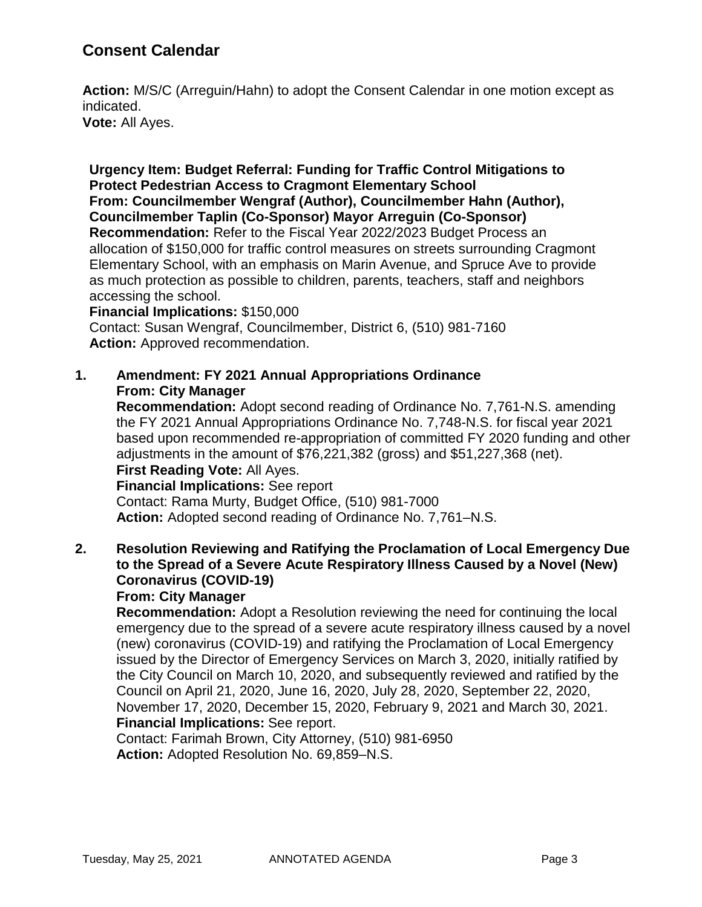## **Consent Calendar**

**Action:** M/S/C (Arreguin/Hahn) to adopt the Consent Calendar in one motion except as indicated. **Vote:** All Ayes.

**Urgency Item: Budget Referral: Funding for Traffic Control Mitigations to Protect Pedestrian Access to Cragmont Elementary School From: Councilmember Wengraf (Author), Councilmember Hahn (Author), Councilmember Taplin (Co-Sponsor) Mayor Arreguin (Co-Sponsor) Recommendation:** Refer to the Fiscal Year 2022/2023 Budget Process an allocation of \$150,000 for traffic control measures on streets surrounding Cragmont Elementary School, with an emphasis on Marin Avenue, and Spruce Ave to provide as much protection as possible to children, parents, teachers, staff and neighbors accessing the school.

#### **Financial Implications:** \$150,000

Contact: Susan Wengraf, Councilmember, District 6, (510) 981-7160 Action: Approved recommendation.

#### **1. Amendment: FY 2021 Annual Appropriations Ordinance From: City Manager**

**Recommendation:** Adopt second reading of Ordinance No. 7,761-N.S. amending the FY 2021 Annual Appropriations Ordinance No. 7,748-N.S. for fiscal year 2021 based upon recommended re-appropriation of committed FY 2020 funding and other adjustments in the amount of \$76,221,382 (gross) and \$51,227,368 (net).

## **First Reading Vote:** All Ayes.

**Financial Implications:** See report Contact: Rama Murty, Budget Office, (510) 981-7000 **Action:** Adopted second reading of Ordinance No. 7,761–N.S.

## **2. Resolution Reviewing and Ratifying the Proclamation of Local Emergency Due to the Spread of a Severe Acute Respiratory Illness Caused by a Novel (New) Coronavirus (COVID-19)**

#### **From: City Manager**

**Recommendation:** Adopt a Resolution reviewing the need for continuing the local emergency due to the spread of a severe acute respiratory illness caused by a novel (new) coronavirus (COVID-19) and ratifying the Proclamation of Local Emergency issued by the Director of Emergency Services on March 3, 2020, initially ratified by the City Council on March 10, 2020, and subsequently reviewed and ratified by the Council on April 21, 2020, June 16, 2020, July 28, 2020, September 22, 2020, November 17, 2020, December 15, 2020, February 9, 2021 and March 30, 2021. **Financial Implications:** See report.

Contact: Farimah Brown, City Attorney, (510) 981-6950 **Action:** Adopted Resolution No. 69,859–N.S.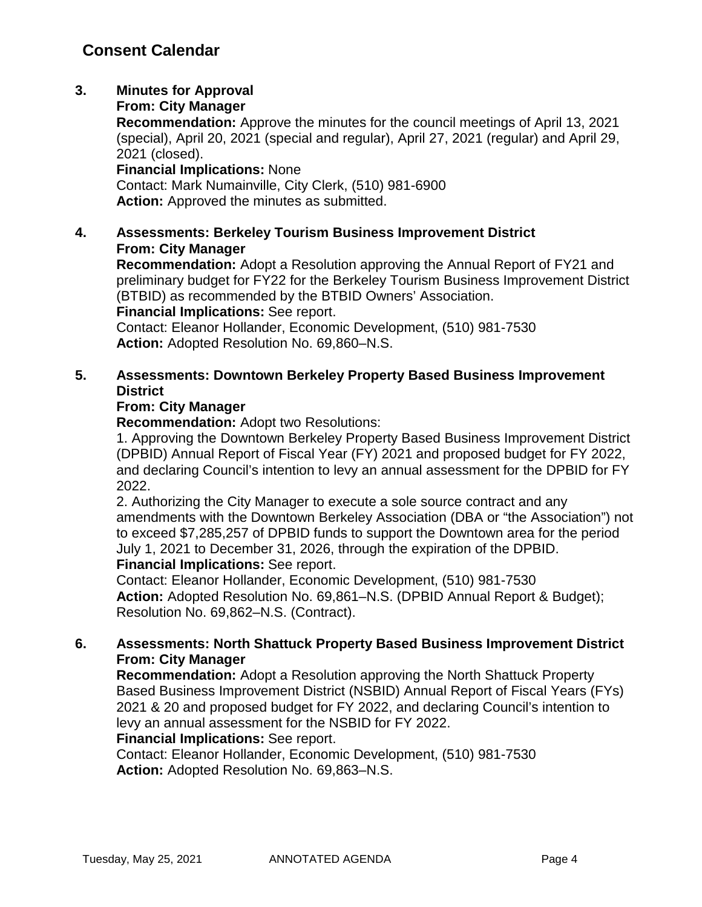## **3. Minutes for Approval**

#### **From: City Manager**

**Recommendation:** Approve the minutes for the council meetings of April 13, 2021 (special), April 20, 2021 (special and regular), April 27, 2021 (regular) and April 29, 2021 (closed).

#### **Financial Implications:** None

Contact: Mark Numainville, City Clerk, (510) 981-6900 **Action:** Approved the minutes as submitted.

### **4. Assessments: Berkeley Tourism Business Improvement District From: City Manager**

**Recommendation:** Adopt a Resolution approving the Annual Report of FY21 and preliminary budget for FY22 for the Berkeley Tourism Business Improvement District (BTBID) as recommended by the BTBID Owners' Association.

**Financial Implications:** See report.

Contact: Eleanor Hollander, Economic Development, (510) 981-7530 **Action:** Adopted Resolution No. 69,860–N.S.

### **5. Assessments: Downtown Berkeley Property Based Business Improvement District**

### **From: City Manager**

**Recommendation:** Adopt two Resolutions:

1. Approving the Downtown Berkeley Property Based Business Improvement District (DPBID) Annual Report of Fiscal Year (FY) 2021 and proposed budget for FY 2022, and declaring Council's intention to levy an annual assessment for the DPBID for FY 2022.

2. Authorizing the City Manager to execute a sole source contract and any amendments with the Downtown Berkeley Association (DBA or "the Association") not to exceed \$7,285,257 of DPBID funds to support the Downtown area for the period July 1, 2021 to December 31, 2026, through the expiration of the DPBID. **Financial Implications:** See report.

Contact: Eleanor Hollander, Economic Development, (510) 981-7530 **Action:** Adopted Resolution No. 69,861–N.S. (DPBID Annual Report & Budget); Resolution No. 69,862–N.S. (Contract).

### **6. Assessments: North Shattuck Property Based Business Improvement District From: City Manager**

**Recommendation:** Adopt a Resolution approving the North Shattuck Property Based Business Improvement District (NSBID) Annual Report of Fiscal Years (FYs) 2021 & 20 and proposed budget for FY 2022, and declaring Council's intention to levy an annual assessment for the NSBID for FY 2022.

### **Financial Implications:** See report.

Contact: Eleanor Hollander, Economic Development, (510) 981-7530 **Action:** Adopted Resolution No. 69,863–N.S.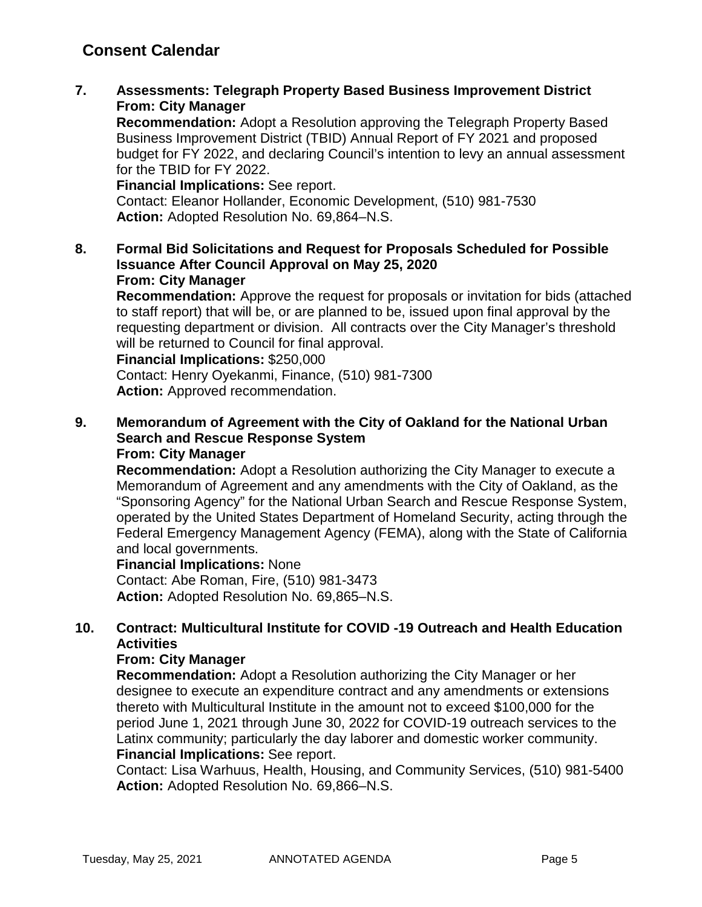## **Consent Calendar**

**7. Assessments: Telegraph Property Based Business Improvement District From: City Manager**

**Recommendation:** Adopt a Resolution approving the Telegraph Property Based Business Improvement District (TBID) Annual Report of FY 2021 and proposed budget for FY 2022, and declaring Council's intention to levy an annual assessment for the TBID for FY 2022.

**Financial Implications:** See report. Contact: Eleanor Hollander, Economic Development, (510) 981-7530 **Action:** Adopted Resolution No. 69,864–N.S.

**8. Formal Bid Solicitations and Request for Proposals Scheduled for Possible Issuance After Council Approval on May 25, 2020 From: City Manager**

**Recommendation:** Approve the request for proposals or invitation for bids (attached to staff report) that will be, or are planned to be, issued upon final approval by the requesting department or division. All contracts over the City Manager's threshold will be returned to Council for final approval.

**Financial Implications:** \$250,000

Contact: Henry Oyekanmi, Finance, (510) 981-7300 **Action:** Approved recommendation.

**9. Memorandum of Agreement with the City of Oakland for the National Urban Search and Rescue Response System From: City Manager**

**Recommendation:** Adopt a Resolution authorizing the City Manager to execute a Memorandum of Agreement and any amendments with the City of Oakland, as the "Sponsoring Agency" for the National Urban Search and Rescue Response System, operated by the United States Department of Homeland Security, acting through the Federal Emergency Management Agency (FEMA), along with the State of California and local governments.

#### **Financial Implications:** None

Contact: Abe Roman, Fire, (510) 981-3473 **Action:** Adopted Resolution No. 69,865–N.S.

### **10. Contract: Multicultural Institute for COVID -19 Outreach and Health Education Activities**

#### **From: City Manager**

**Recommendation:** Adopt a Resolution authorizing the City Manager or her designee to execute an expenditure contract and any amendments or extensions thereto with Multicultural Institute in the amount not to exceed \$100,000 for the period June 1, 2021 through June 30, 2022 for COVID-19 outreach services to the Latinx community; particularly the day laborer and domestic worker community. **Financial Implications:** See report.

Contact: Lisa Warhuus, Health, Housing, and Community Services, (510) 981-5400 **Action:** Adopted Resolution No. 69,866–N.S.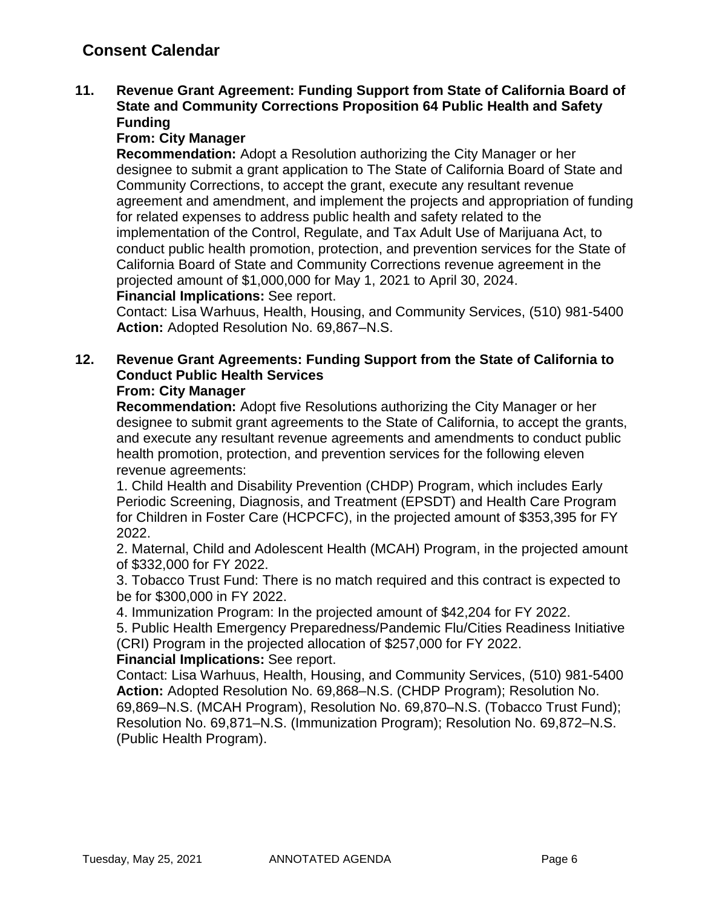### **11. Revenue Grant Agreement: Funding Support from State of California Board of State and Community Corrections Proposition 64 Public Health and Safety Funding**

### **From: City Manager**

**Recommendation:** Adopt a Resolution authorizing the City Manager or her designee to submit a grant application to The State of California Board of State and Community Corrections, to accept the grant, execute any resultant revenue agreement and amendment, and implement the projects and appropriation of funding for related expenses to address public health and safety related to the implementation of the Control, Regulate, and Tax Adult Use of Marijuana Act, to conduct public health promotion, protection, and prevention services for the State of California Board of State and Community Corrections revenue agreement in the projected amount of \$1,000,000 for May 1, 2021 to April 30, 2024. **Financial Implications:** See report.

Contact: Lisa Warhuus, Health, Housing, and Community Services, (510) 981-5400 **Action:** Adopted Resolution No. 69,867–N.S.

## **12. Revenue Grant Agreements: Funding Support from the State of California to Conduct Public Health Services**

### **From: City Manager**

**Recommendation:** Adopt five Resolutions authorizing the City Manager or her designee to submit grant agreements to the State of California, to accept the grants, and execute any resultant revenue agreements and amendments to conduct public health promotion, protection, and prevention services for the following eleven revenue agreements:

1. Child Health and Disability Prevention (CHDP) Program, which includes Early Periodic Screening, Diagnosis, and Treatment (EPSDT) and Health Care Program for Children in Foster Care (HCPCFC), in the projected amount of \$353,395 for FY 2022.

2. Maternal, Child and Adolescent Health (MCAH) Program, in the projected amount of \$332,000 for FY 2022.

3. Tobacco Trust Fund: There is no match required and this contract is expected to be for \$300,000 in FY 2022.

4. Immunization Program: In the projected amount of \$42,204 for FY 2022.

5. Public Health Emergency Preparedness/Pandemic Flu/Cities Readiness Initiative (CRI) Program in the projected allocation of \$257,000 for FY 2022.

#### **Financial Implications:** See report.

Contact: Lisa Warhuus, Health, Housing, and Community Services, (510) 981-5400 **Action:** Adopted Resolution No. 69,868–N.S. (CHDP Program); Resolution No. 69,869–N.S. (MCAH Program), Resolution No. 69,870–N.S. (Tobacco Trust Fund); Resolution No. 69,871–N.S. (Immunization Program); Resolution No. 69,872–N.S. (Public Health Program).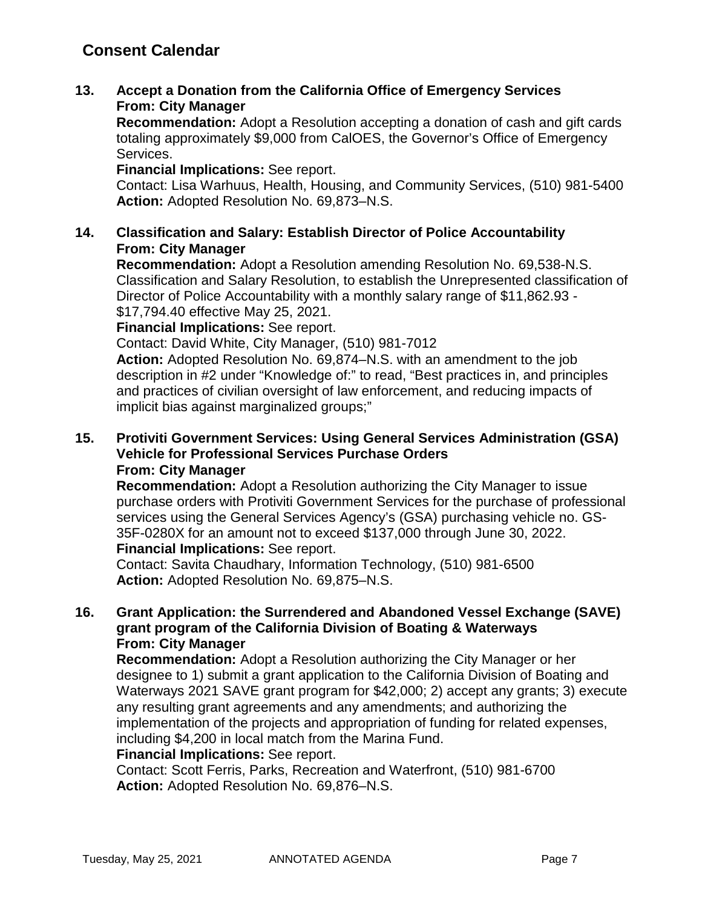**13. Accept a Donation from the California Office of Emergency Services From: City Manager**

**Recommendation:** Adopt a Resolution accepting a donation of cash and gift cards totaling approximately \$9,000 from CalOES, the Governor's Office of Emergency Services.

**Financial Implications:** See report.

Contact: Lisa Warhuus, Health, Housing, and Community Services, (510) 981-5400 **Action:** Adopted Resolution No. 69,873–N.S.

### **14. Classification and Salary: Establish Director of Police Accountability From: City Manager**

**Recommendation:** Adopt a Resolution amending Resolution No. 69,538-N.S. Classification and Salary Resolution, to establish the Unrepresented classification of Director of Police Accountability with a monthly salary range of \$11,862.93 - \$17,794.40 effective May 25, 2021.

**Financial Implications:** See report.

Contact: David White, City Manager, (510) 981-7012

**Action:** Adopted Resolution No. 69,874–N.S. with an amendment to the job description in #2 under "Knowledge of:" to read, "Best practices in, and principles and practices of civilian oversight of law enforcement, and reducing impacts of implicit bias against marginalized groups;"

#### **15. Protiviti Government Services: Using General Services Administration (GSA) Vehicle for Professional Services Purchase Orders From: City Manager**

**Recommendation:** Adopt a Resolution authorizing the City Manager to issue purchase orders with Protiviti Government Services for the purchase of professional services using the General Services Agency's (GSA) purchasing vehicle no. GS-35F-0280X for an amount not to exceed \$137,000 through June 30, 2022.

**Financial Implications:** See report.

Contact: Savita Chaudhary, Information Technology, (510) 981-6500 **Action:** Adopted Resolution No. 69,875–N.S.

### **16. Grant Application: the Surrendered and Abandoned Vessel Exchange (SAVE) grant program of the California Division of Boating & Waterways From: City Manager**

**Recommendation:** Adopt a Resolution authorizing the City Manager or her designee to 1) submit a grant application to the California Division of Boating and Waterways 2021 SAVE grant program for \$42,000; 2) accept any grants; 3) execute any resulting grant agreements and any amendments; and authorizing the implementation of the projects and appropriation of funding for related expenses, including \$4,200 in local match from the Marina Fund.

#### **Financial Implications:** See report.

Contact: Scott Ferris, Parks, Recreation and Waterfront, (510) 981-6700 **Action:** Adopted Resolution No. 69,876–N.S.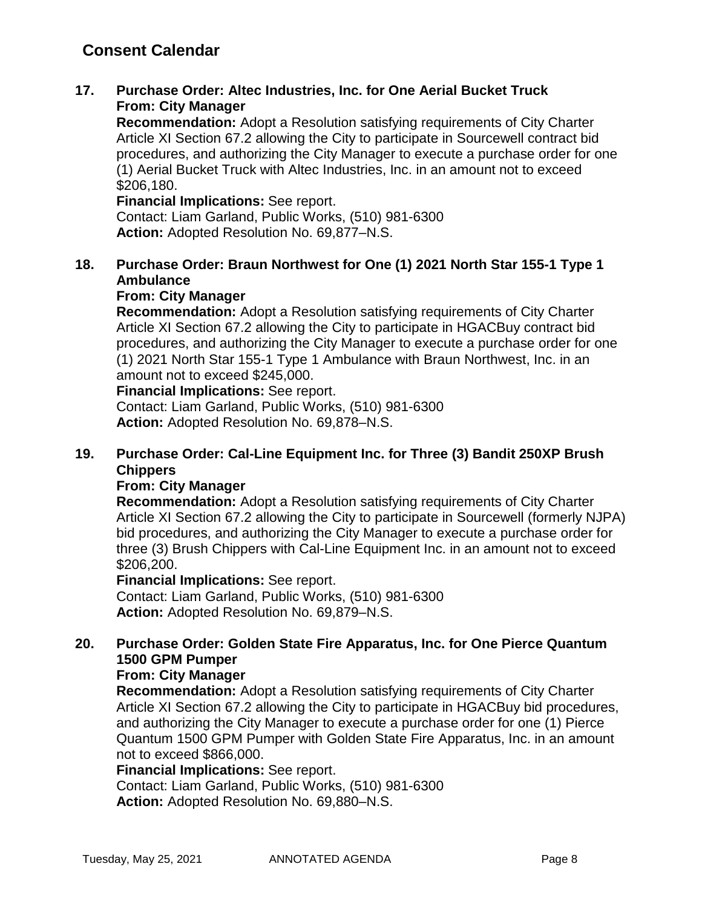## **Consent Calendar**

### **17. Purchase Order: Altec Industries, Inc. for One Aerial Bucket Truck From: City Manager**

**Recommendation:** Adopt a Resolution satisfying requirements of City Charter Article XI Section 67.2 allowing the City to participate in Sourcewell contract bid procedures, and authorizing the City Manager to execute a purchase order for one (1) Aerial Bucket Truck with Altec Industries, Inc. in an amount not to exceed \$206,180.

**Financial Implications:** See report. Contact: Liam Garland, Public Works, (510) 981-6300 **Action:** Adopted Resolution No. 69,877–N.S.

### **18. Purchase Order: Braun Northwest for One (1) 2021 North Star 155-1 Type 1 Ambulance**

#### **From: City Manager**

**Recommendation:** Adopt a Resolution satisfying requirements of City Charter Article XI Section 67.2 allowing the City to participate in HGACBuy contract bid procedures, and authorizing the City Manager to execute a purchase order for one (1) 2021 North Star 155-1 Type 1 Ambulance with Braun Northwest, Inc. in an amount not to exceed \$245,000.

**Financial Implications:** See report.

Contact: Liam Garland, Public Works, (510) 981-6300 **Action:** Adopted Resolution No. 69,878–N.S.

### **19. Purchase Order: Cal-Line Equipment Inc. for Three (3) Bandit 250XP Brush Chippers**

#### **From: City Manager**

**Recommendation:** Adopt a Resolution satisfying requirements of City Charter Article XI Section 67.2 allowing the City to participate in Sourcewell (formerly NJPA) bid procedures, and authorizing the City Manager to execute a purchase order for three (3) Brush Chippers with Cal-Line Equipment Inc. in an amount not to exceed \$206,200.

**Financial Implications:** See report.

Contact: Liam Garland, Public Works, (510) 981-6300 **Action:** Adopted Resolution No. 69,879–N.S.

### **20. Purchase Order: Golden State Fire Apparatus, Inc. for One Pierce Quantum 1500 GPM Pumper**

### **From: City Manager**

**Recommendation:** Adopt a Resolution satisfying requirements of City Charter Article XI Section 67.2 allowing the City to participate in HGACBuy bid procedures, and authorizing the City Manager to execute a purchase order for one (1) Pierce Quantum 1500 GPM Pumper with Golden State Fire Apparatus, Inc. in an amount not to exceed \$866,000.

**Financial Implications:** See report.

Contact: Liam Garland, Public Works, (510) 981-6300 **Action:** Adopted Resolution No. 69,880–N.S.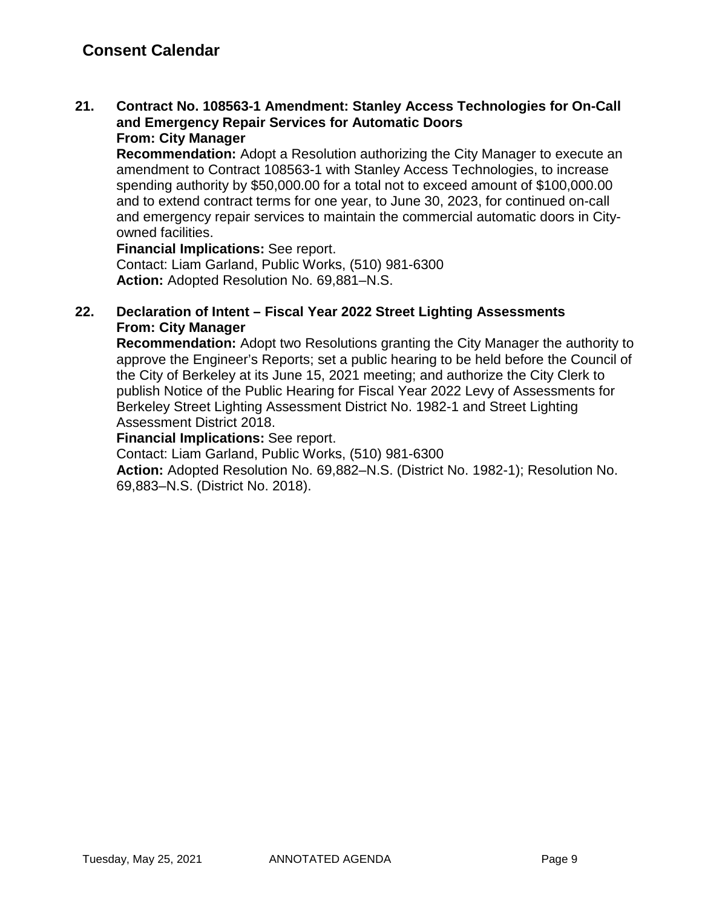**21. Contract No. 108563-1 Amendment: Stanley Access Technologies for On-Call and Emergency Repair Services for Automatic Doors From: City Manager**

**Recommendation:** Adopt a Resolution authorizing the City Manager to execute an amendment to Contract 108563-1 with Stanley Access Technologies, to increase spending authority by \$50,000.00 for a total not to exceed amount of \$100,000.00 and to extend contract terms for one year, to June 30, 2023, for continued on-call and emergency repair services to maintain the commercial automatic doors in Cityowned facilities.

**Financial Implications:** See report. Contact: Liam Garland, Public Works, (510) 981-6300 **Action:** Adopted Resolution No. 69,881–N.S.

### **22. Declaration of Intent – Fiscal Year 2022 Street Lighting Assessments From: City Manager**

**Recommendation:** Adopt two Resolutions granting the City Manager the authority to approve the Engineer's Reports; set a public hearing to be held before the Council of the City of Berkeley at its June 15, 2021 meeting; and authorize the City Clerk to publish Notice of the Public Hearing for Fiscal Year 2022 Levy of Assessments for Berkeley Street Lighting Assessment District No. 1982-1 and Street Lighting Assessment District 2018.

#### **Financial Implications:** See report.

Contact: Liam Garland, Public Works, (510) 981-6300

**Action:** Adopted Resolution No. 69,882–N.S. (District No. 1982-1); Resolution No. 69,883–N.S. (District No. 2018).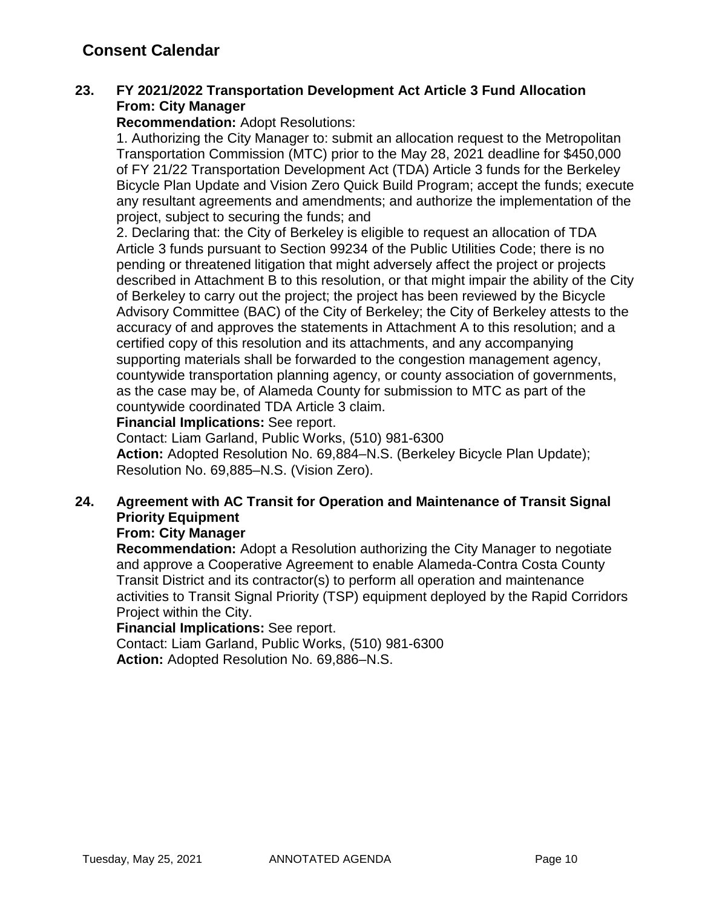### **23. FY 2021/2022 Transportation Development Act Article 3 Fund Allocation From: City Manager**

#### **Recommendation:** Adopt Resolutions:

1. Authorizing the City Manager to: submit an allocation request to the Metropolitan Transportation Commission (MTC) prior to the May 28, 2021 deadline for \$450,000 of FY 21/22 Transportation Development Act (TDA) Article 3 funds for the Berkeley Bicycle Plan Update and Vision Zero Quick Build Program; accept the funds; execute any resultant agreements and amendments; and authorize the implementation of the project, subject to securing the funds; and

2. Declaring that: the City of Berkeley is eligible to request an allocation of TDA Article 3 funds pursuant to Section 99234 of the Public Utilities Code; there is no pending or threatened litigation that might adversely affect the project or projects described in Attachment B to this resolution, or that might impair the ability of the City of Berkeley to carry out the project; the project has been reviewed by the Bicycle Advisory Committee (BAC) of the City of Berkeley; the City of Berkeley attests to the accuracy of and approves the statements in Attachment A to this resolution; and a certified copy of this resolution and its attachments, and any accompanying supporting materials shall be forwarded to the congestion management agency, countywide transportation planning agency, or county association of governments, as the case may be, of Alameda County for submission to MTC as part of the countywide coordinated TDA Article 3 claim.

#### **Financial Implications:** See report.

Contact: Liam Garland, Public Works, (510) 981-6300 **Action:** Adopted Resolution No. 69,884–N.S. (Berkeley Bicycle Plan Update); Resolution No. 69,885–N.S. (Vision Zero).

### **24. Agreement with AC Transit for Operation and Maintenance of Transit Signal Priority Equipment**

#### **From: City Manager**

**Recommendation:** Adopt a Resolution authorizing the City Manager to negotiate and approve a Cooperative Agreement to enable Alameda-Contra Costa County Transit District and its contractor(s) to perform all operation and maintenance activities to Transit Signal Priority (TSP) equipment deployed by the Rapid Corridors Project within the City.

#### **Financial Implications:** See report.

Contact: Liam Garland, Public Works, (510) 981-6300 **Action:** Adopted Resolution No. 69,886–N.S.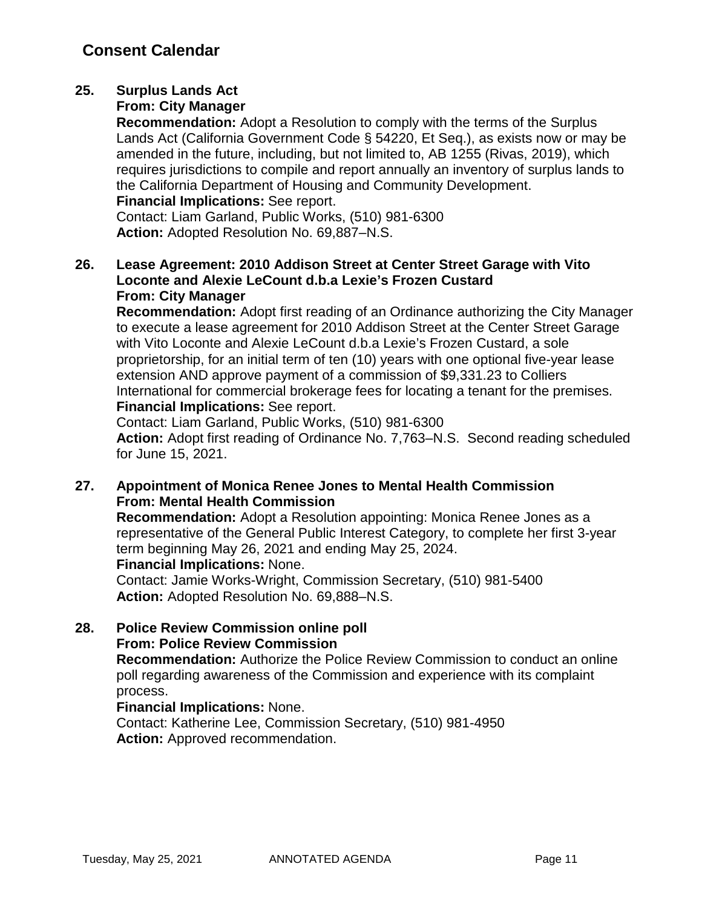## **25. Surplus Lands Act**

### **From: City Manager**

**Recommendation:** Adopt a Resolution to comply with the terms of the Surplus Lands Act (California Government Code § 54220, Et Seq.), as exists now or may be amended in the future, including, but not limited to, AB 1255 (Rivas, 2019), which requires jurisdictions to compile and report annually an inventory of surplus lands to the California Department of Housing and Community Development.

**Financial Implications:** See report.

Contact: Liam Garland, Public Works, (510) 981-6300 **Action:** Adopted Resolution No. 69,887–N.S.

### **26. Lease Agreement: 2010 Addison Street at Center Street Garage with Vito Loconte and Alexie LeCount d.b.a Lexie's Frozen Custard From: City Manager**

**Recommendation:** Adopt first reading of an Ordinance authorizing the City Manager to execute a lease agreement for 2010 Addison Street at the Center Street Garage with Vito Loconte and Alexie LeCount d.b.a Lexie's Frozen Custard, a sole proprietorship, for an initial term of ten (10) years with one optional five-year lease extension AND approve payment of a commission of \$9,331.23 to Colliers International for commercial brokerage fees for locating a tenant for the premises. **Financial Implications:** See report.

Contact: Liam Garland, Public Works, (510) 981-6300

**Action:** Adopt first reading of Ordinance No. 7,763–N.S. Second reading scheduled for June 15, 2021.

### **27. Appointment of Monica Renee Jones to Mental Health Commission From: Mental Health Commission**

**Recommendation:** Adopt a Resolution appointing: Monica Renee Jones as a representative of the General Public Interest Category, to complete her first 3-year term beginning May 26, 2021 and ending May 25, 2024. **Financial Implications:** None.

Contact: Jamie Works-Wright, Commission Secretary, (510) 981-5400 **Action:** Adopted Resolution No. 69,888–N.S.

### **28. Police Review Commission online poll From: Police Review Commission**

**Recommendation:** Authorize the Police Review Commission to conduct an online poll regarding awareness of the Commission and experience with its complaint process.

### **Financial Implications:** None.

Contact: Katherine Lee, Commission Secretary, (510) 981-4950 **Action:** Approved recommendation.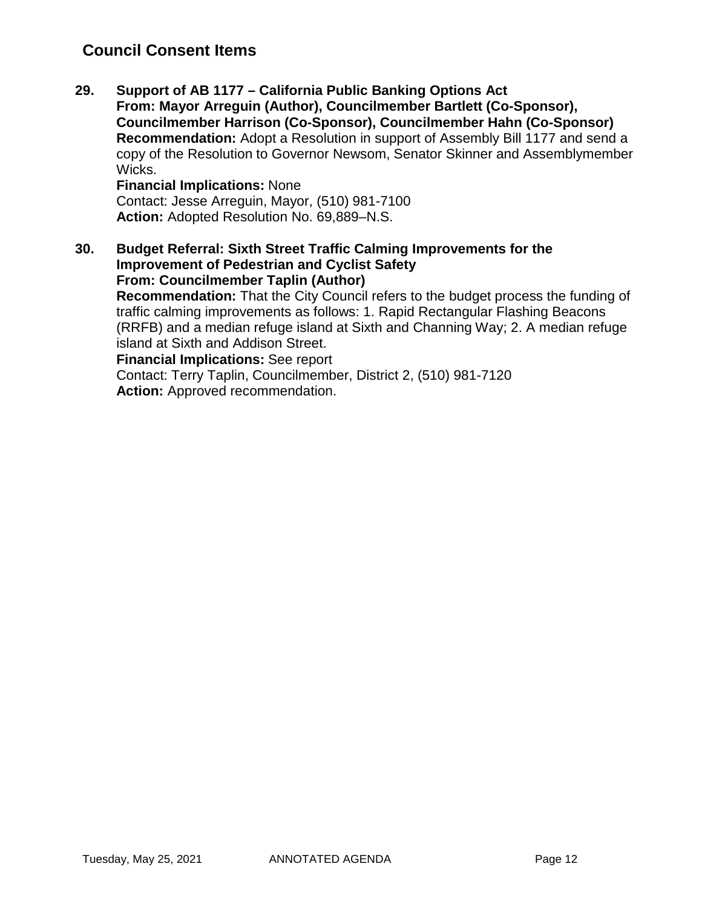## **Council Consent Items**

**29. Support of AB 1177 – California Public Banking Options Act From: Mayor Arreguin (Author), Councilmember Bartlett (Co-Sponsor), Councilmember Harrison (Co-Sponsor), Councilmember Hahn (Co-Sponsor) Recommendation:** Adopt a Resolution in support of Assembly Bill 1177 and send a copy of the Resolution to Governor Newsom, Senator Skinner and Assemblymember Wicks.

**Financial Implications:** None Contact: Jesse Arreguin, Mayor, (510) 981-7100 **Action:** Adopted Resolution No. 69,889–N.S.

**30. Budget Referral: Sixth Street Traffic Calming Improvements for the Improvement of Pedestrian and Cyclist Safety From: Councilmember Taplin (Author) Recommendation:** That the City Council refers to the budget process the funding of traffic calming improvements as follows: 1. Rapid Rectangular Flashing Beacons (RRFB) and a median refuge island at Sixth and Channing Way; 2. A median refuge island at Sixth and Addison Street.

**Financial Implications:** See report

Contact: Terry Taplin, Councilmember, District 2, (510) 981-7120 **Action:** Approved recommendation.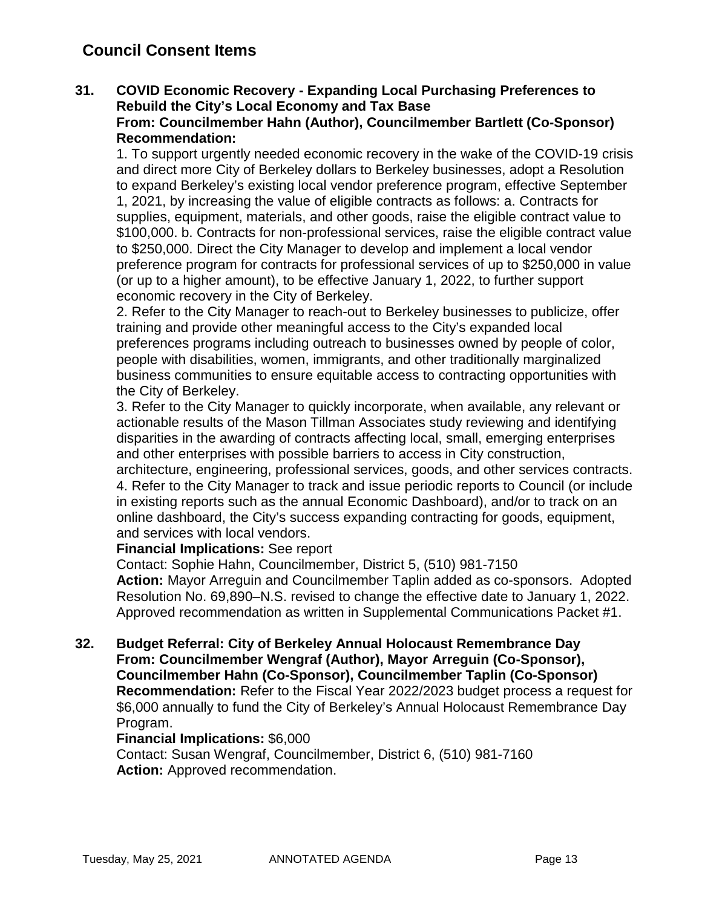## **Council Consent Items**

#### **31. COVID Economic Recovery - Expanding Local Purchasing Preferences to Rebuild the City's Local Economy and Tax Base From: Councilmember Hahn (Author), Councilmember Bartlett (Co-Sponsor) Recommendation:**

1. To support urgently needed economic recovery in the wake of the COVID-19 crisis and direct more City of Berkeley dollars to Berkeley businesses, adopt a Resolution to expand Berkeley's existing local vendor preference program, effective September 1, 2021, by increasing the value of eligible contracts as follows: a. Contracts for supplies, equipment, materials, and other goods, raise the eligible contract value to \$100,000. b. Contracts for non-professional services, raise the eligible contract value to \$250,000. Direct the City Manager to develop and implement a local vendor preference program for contracts for professional services of up to \$250,000 in value (or up to a higher amount), to be effective January 1, 2022, to further support economic recovery in the City of Berkeley.

2. Refer to the City Manager to reach-out to Berkeley businesses to publicize, offer training and provide other meaningful access to the City's expanded local preferences programs including outreach to businesses owned by people of color, people with disabilities, women, immigrants, and other traditionally marginalized business communities to ensure equitable access to contracting opportunities with the City of Berkeley.

3. Refer to the City Manager to quickly incorporate, when available, any relevant or actionable results of the Mason Tillman Associates study reviewing and identifying disparities in the awarding of contracts affecting local, small, emerging enterprises and other enterprises with possible barriers to access in City construction,

architecture, engineering, professional services, goods, and other services contracts. 4. Refer to the City Manager to track and issue periodic reports to Council (or include in existing reports such as the annual Economic Dashboard), and/or to track on an online dashboard, the City's success expanding contracting for goods, equipment, and services with local vendors.

#### **Financial Implications:** See report

Contact: Sophie Hahn, Councilmember, District 5, (510) 981-7150 **Action:** Mayor Arreguin and Councilmember Taplin added as co-sponsors. Adopted Resolution No. 69,890–N.S. revised to change the effective date to January 1, 2022. Approved recommendation as written in Supplemental Communications Packet #1.

**32. Budget Referral: City of Berkeley Annual Holocaust Remembrance Day From: Councilmember Wengraf (Author), Mayor Arreguin (Co-Sponsor), Councilmember Hahn (Co-Sponsor), Councilmember Taplin (Co-Sponsor) Recommendation:** Refer to the Fiscal Year 2022/2023 budget process a request for \$6,000 annually to fund the City of Berkeley's Annual Holocaust Remembrance Day Program.

#### **Financial Implications:** \$6,000

Contact: Susan Wengraf, Councilmember, District 6, (510) 981-7160 **Action:** Approved recommendation.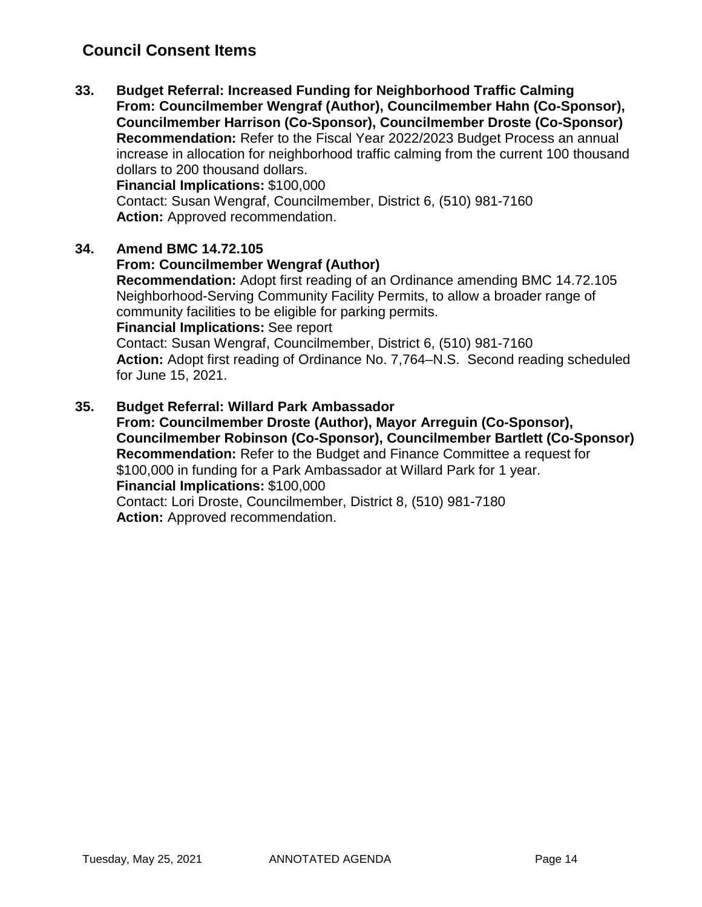## **Council Consent Items**

**33. Budget Referral: Increased Funding for Neighborhood Traffic Calming From: Councilmember Wengraf (Author), Councilmember Hahn (Co-Sponsor), Councilmember Harrison (Co-Sponsor), Councilmember Droste (Co-Sponsor) Recommendation:** Refer to the Fiscal Year 2022/2023 Budget Process an annual increase in allocation for neighborhood traffic calming from the current 100 thousand dollars to 200 thousand dollars. **Financial Implications:** \$100,000

Contact: Susan Wengraf, Councilmember, District 6, (510) 981-7160 **Action:** Approved recommendation.

#### **34. Amend BMC 14.72.105**

#### **From: Councilmember Wengraf (Author)**

**Recommendation:** Adopt first reading of an Ordinance amending BMC 14.72.105 Neighborhood-Serving Community Facility Permits, to allow a broader range of community facilities to be eligible for parking permits.

#### **Financial Implications:** See report

Contact: Susan Wengraf, Councilmember, District 6, (510) 981-7160 **Action:** Adopt first reading of Ordinance No. 7,764–N.S. Second reading scheduled for June 15, 2021.

#### **35. Budget Referral: Willard Park Ambassador**

**From: Councilmember Droste (Author), Mayor Arreguin (Co-Sponsor), Councilmember Robinson (Co-Sponsor), Councilmember Bartlett (Co-Sponsor) Recommendation:** Refer to the Budget and Finance Committee a request for \$100,000 in funding for a Park Ambassador at Willard Park for 1 year. **Financial Implications:** \$100,000 Contact: Lori Droste, Councilmember, District 8, (510) 981-7180 **Action:** Approved recommendation.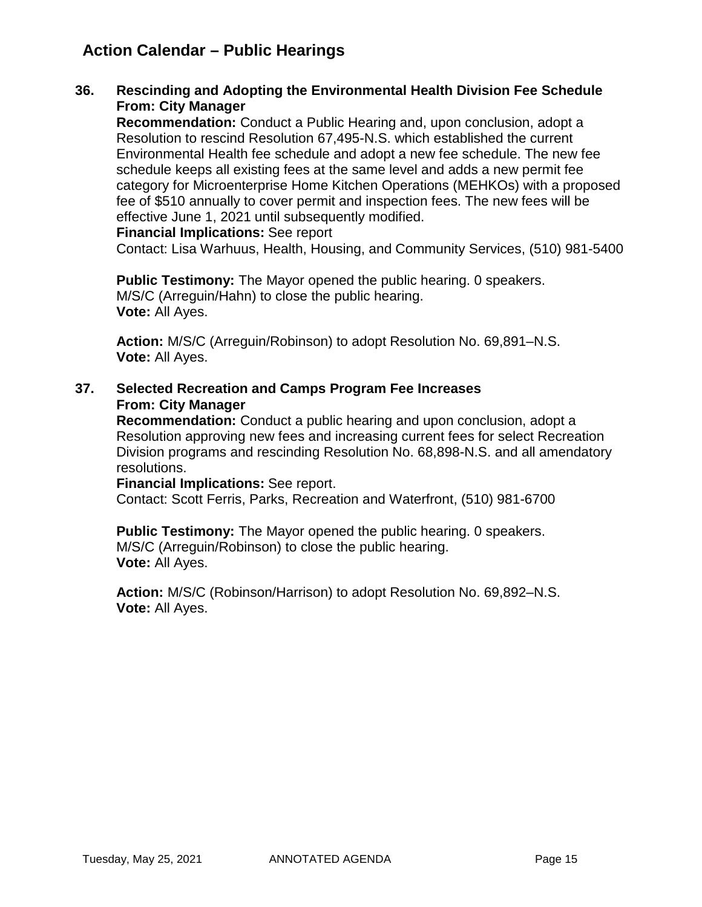## **Action Calendar – Public Hearings**

#### **36. Rescinding and Adopting the Environmental Health Division Fee Schedule From: City Manager**

**Recommendation:** Conduct a Public Hearing and, upon conclusion, adopt a Resolution to rescind Resolution 67,495-N.S. which established the current Environmental Health fee schedule and adopt a new fee schedule. The new fee schedule keeps all existing fees at the same level and adds a new permit fee category for Microenterprise Home Kitchen Operations (MEHKOs) with a proposed fee of \$510 annually to cover permit and inspection fees. The new fees will be effective June 1, 2021 until subsequently modified.

**Financial Implications:** See report

Contact: Lisa Warhuus, Health, Housing, and Community Services, (510) 981-5400

**Public Testimony:** The Mayor opened the public hearing. 0 speakers. M/S/C (Arreguin/Hahn) to close the public hearing. **Vote:** All Ayes.

**Action:** M/S/C (Arreguin/Robinson) to adopt Resolution No. 69,891–N.S. **Vote:** All Ayes.

#### **37. Selected Recreation and Camps Program Fee Increases From: City Manager**

**Recommendation:** Conduct a public hearing and upon conclusion, adopt a Resolution approving new fees and increasing current fees for select Recreation Division programs and rescinding Resolution No. 68,898-N.S. and all amendatory resolutions.

**Financial Implications:** See report.

Contact: Scott Ferris, Parks, Recreation and Waterfront, (510) 981-6700

**Public Testimony:** The Mayor opened the public hearing. 0 speakers. M/S/C (Arreguin/Robinson) to close the public hearing. **Vote:** All Ayes.

**Action:** M/S/C (Robinson/Harrison) to adopt Resolution No. 69,892–N.S. **Vote:** All Ayes.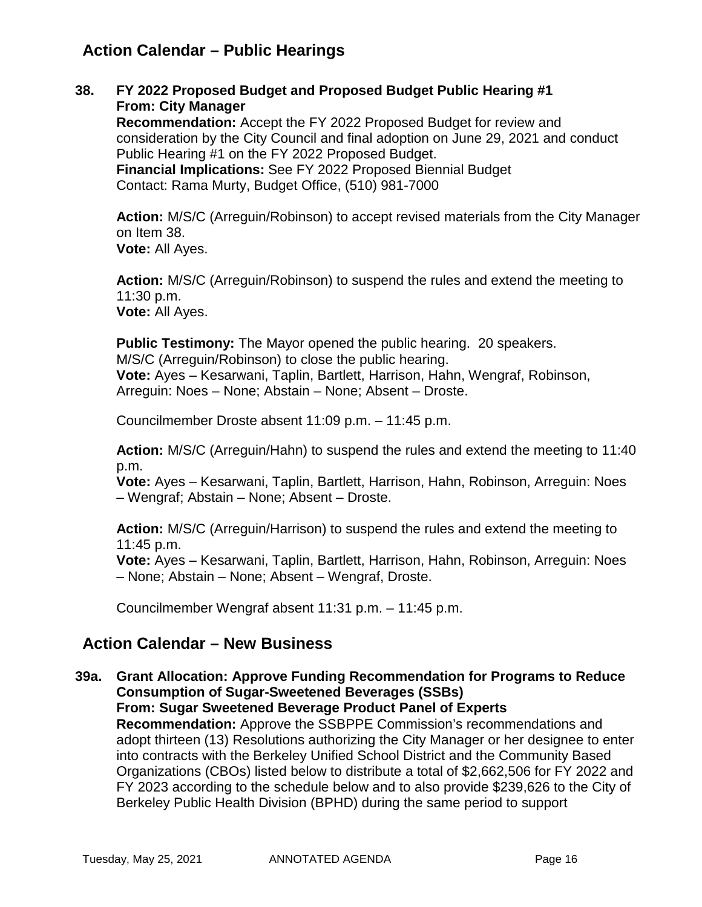## **Action Calendar – Public Hearings**

**38. FY 2022 Proposed Budget and Proposed Budget Public Hearing #1 From: City Manager**

**Recommendation:** Accept the FY 2022 Proposed Budget for review and consideration by the City Council and final adoption on June 29, 2021 and conduct Public Hearing #1 on the FY 2022 Proposed Budget. **Financial Implications:** See FY 2022 Proposed Biennial Budget Contact: Rama Murty, Budget Office, (510) 981-7000

**Action:** M/S/C (Arreguin/Robinson) to accept revised materials from the City Manager on Item 38. **Vote:** All Ayes.

**Action:** M/S/C (Arreguin/Robinson) to suspend the rules and extend the meeting to 11:30 p.m. **Vote:** All Ayes.

**Public Testimony:** The Mayor opened the public hearing. 20 speakers. M/S/C (Arreguin/Robinson) to close the public hearing. **Vote:** Ayes – Kesarwani, Taplin, Bartlett, Harrison, Hahn, Wengraf, Robinson, Arreguin: Noes – None; Abstain – None; Absent – Droste.

Councilmember Droste absent 11:09 p.m. – 11:45 p.m.

**Action:** M/S/C (Arreguin/Hahn) to suspend the rules and extend the meeting to 11:40 p.m.

**Vote:** Ayes – Kesarwani, Taplin, Bartlett, Harrison, Hahn, Robinson, Arreguin: Noes – Wengraf; Abstain – None; Absent – Droste.

**Action:** M/S/C (Arreguin/Harrison) to suspend the rules and extend the meeting to 11:45 p.m.

**Vote:** Ayes – Kesarwani, Taplin, Bartlett, Harrison, Hahn, Robinson, Arreguin: Noes – None; Abstain – None; Absent – Wengraf, Droste.

Councilmember Wengraf absent 11:31 p.m. – 11:45 p.m.

## **Action Calendar – New Business**

**39a. Grant Allocation: Approve Funding Recommendation for Programs to Reduce Consumption of Sugar-Sweetened Beverages (SSBs) From: Sugar Sweetened Beverage Product Panel of Experts**

**Recommendation:** Approve the SSBPPE Commission's recommendations and adopt thirteen (13) Resolutions authorizing the City Manager or her designee to enter into contracts with the Berkeley Unified School District and the Community Based Organizations (CBOs) listed below to distribute a total of \$2,662,506 for FY 2022 and FY 2023 according to the schedule below and to also provide \$239,626 to the City of Berkeley Public Health Division (BPHD) during the same period to support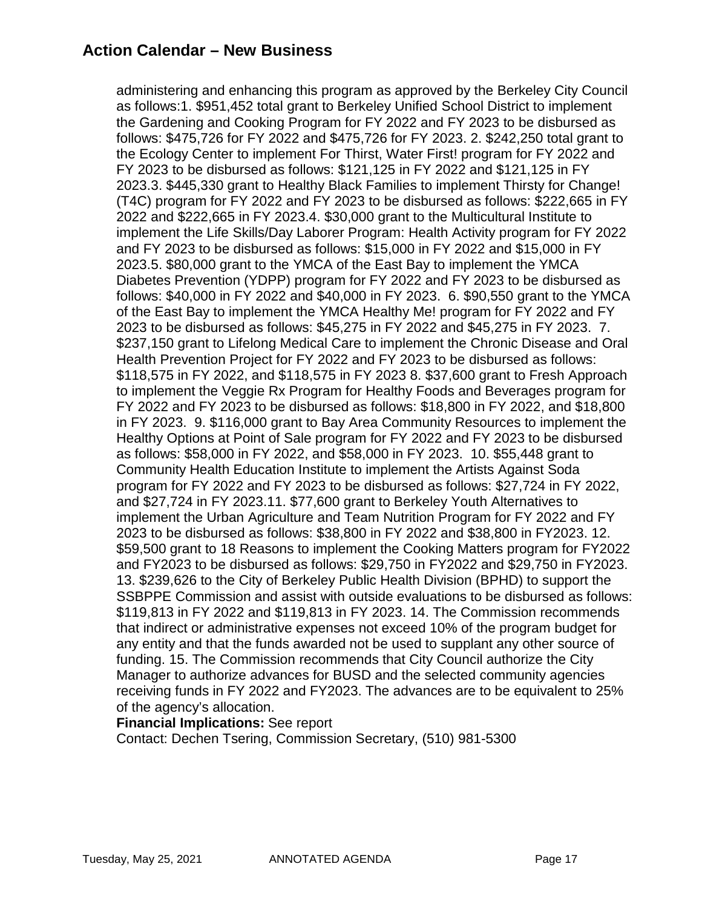## **Action Calendar – New Business**

administering and enhancing this program as approved by the Berkeley City Council as follows:1. \$951,452 total grant to Berkeley Unified School District to implement the Gardening and Cooking Program for FY 2022 and FY 2023 to be disbursed as follows: \$475,726 for FY 2022 and \$475,726 for FY 2023. 2. \$242,250 total grant to the Ecology Center to implement For Thirst, Water First! program for FY 2022 and FY 2023 to be disbursed as follows: \$121,125 in FY 2022 and \$121,125 in FY 2023.3. \$445,330 grant to Healthy Black Families to implement Thirsty for Change! (T4C) program for FY 2022 and FY 2023 to be disbursed as follows: \$222,665 in FY 2022 and \$222,665 in FY 2023.4. \$30,000 grant to the Multicultural Institute to implement the Life Skills/Day Laborer Program: Health Activity program for FY 2022 and FY 2023 to be disbursed as follows: \$15,000 in FY 2022 and \$15,000 in FY 2023.5. \$80,000 grant to the YMCA of the East Bay to implement the YMCA Diabetes Prevention (YDPP) program for FY 2022 and FY 2023 to be disbursed as follows: \$40,000 in FY 2022 and \$40,000 in FY 2023. 6. \$90,550 grant to the YMCA of the East Bay to implement the YMCA Healthy Me! program for FY 2022 and FY 2023 to be disbursed as follows: \$45,275 in FY 2022 and \$45,275 in FY 2023. 7. \$237,150 grant to Lifelong Medical Care to implement the Chronic Disease and Oral Health Prevention Project for FY 2022 and FY 2023 to be disbursed as follows: \$118,575 in FY 2022, and \$118,575 in FY 2023 8. \$37,600 grant to Fresh Approach to implement the Veggie Rx Program for Healthy Foods and Beverages program for FY 2022 and FY 2023 to be disbursed as follows: \$18,800 in FY 2022, and \$18,800 in FY 2023. 9. \$116,000 grant to Bay Area Community Resources to implement the Healthy Options at Point of Sale program for FY 2022 and FY 2023 to be disbursed as follows: \$58,000 in FY 2022, and \$58,000 in FY 2023. 10. \$55,448 grant to Community Health Education Institute to implement the Artists Against Soda program for FY 2022 and FY 2023 to be disbursed as follows: \$27,724 in FY 2022, and \$27,724 in FY 2023.11. \$77,600 grant to Berkeley Youth Alternatives to implement the Urban Agriculture and Team Nutrition Program for FY 2022 and FY 2023 to be disbursed as follows: \$38,800 in FY 2022 and \$38,800 in FY2023. 12. \$59,500 grant to 18 Reasons to implement the Cooking Matters program for FY2022 and FY2023 to be disbursed as follows: \$29,750 in FY2022 and \$29,750 in FY2023. 13. \$239,626 to the City of Berkeley Public Health Division (BPHD) to support the SSBPPE Commission and assist with outside evaluations to be disbursed as follows: \$119,813 in FY 2022 and \$119,813 in FY 2023. 14. The Commission recommends that indirect or administrative expenses not exceed 10% of the program budget for any entity and that the funds awarded not be used to supplant any other source of funding. 15. The Commission recommends that City Council authorize the City Manager to authorize advances for BUSD and the selected community agencies receiving funds in FY 2022 and FY2023. The advances are to be equivalent to 25% of the agency's allocation.

#### **Financial Implications:** See report

Contact: Dechen Tsering, Commission Secretary, (510) 981-5300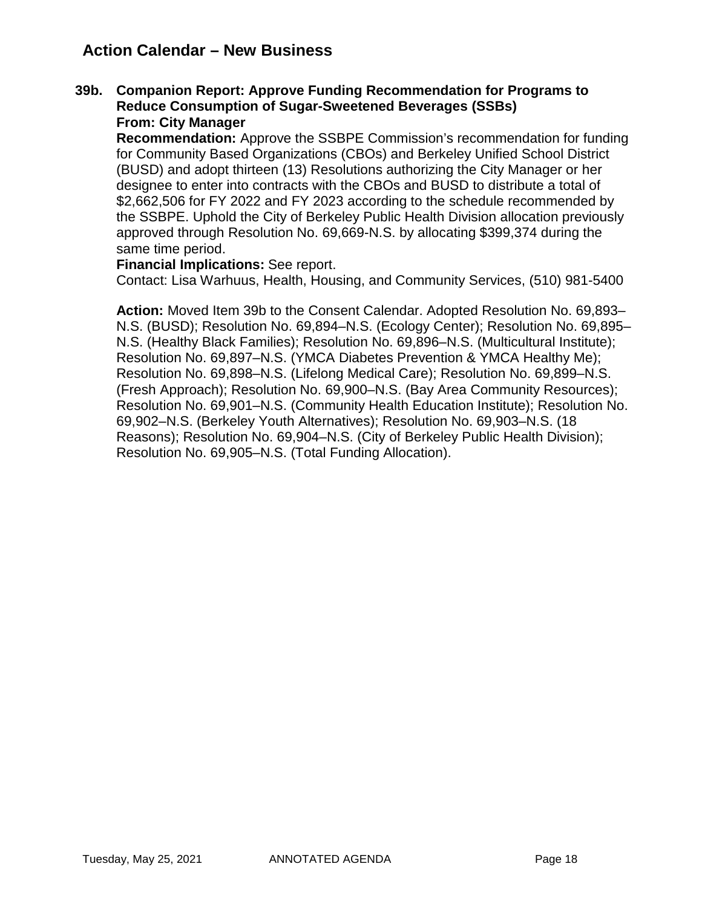## **Action Calendar – New Business**

#### **39b. Companion Report: Approve Funding Recommendation for Programs to Reduce Consumption of Sugar-Sweetened Beverages (SSBs) From: City Manager**

**Recommendation:** Approve the SSBPE Commission's recommendation for funding for Community Based Organizations (CBOs) and Berkeley Unified School District (BUSD) and adopt thirteen (13) Resolutions authorizing the City Manager or her designee to enter into contracts with the CBOs and BUSD to distribute a total of \$2,662,506 for FY 2022 and FY 2023 according to the schedule recommended by the SSBPE. Uphold the City of Berkeley Public Health Division allocation previously approved through Resolution No. 69,669-N.S. by allocating \$399,374 during the same time period.

#### **Financial Implications:** See report.

Contact: Lisa Warhuus, Health, Housing, and Community Services, (510) 981-5400

**Action:** Moved Item 39b to the Consent Calendar. Adopted Resolution No. 69,893– N.S. (BUSD); Resolution No. 69,894–N.S. (Ecology Center); Resolution No. 69,895– N.S. (Healthy Black Families); Resolution No. 69,896–N.S. (Multicultural Institute); Resolution No. 69,897–N.S. (YMCA Diabetes Prevention & YMCA Healthy Me); Resolution No. 69,898–N.S. (Lifelong Medical Care); Resolution No. 69,899–N.S. (Fresh Approach); Resolution No. 69,900–N.S. (Bay Area Community Resources); Resolution No. 69,901–N.S. (Community Health Education Institute); Resolution No. 69,902–N.S. (Berkeley Youth Alternatives); Resolution No. 69,903–N.S. (18 Reasons); Resolution No. 69,904–N.S. (City of Berkeley Public Health Division); Resolution No. 69,905–N.S. (Total Funding Allocation).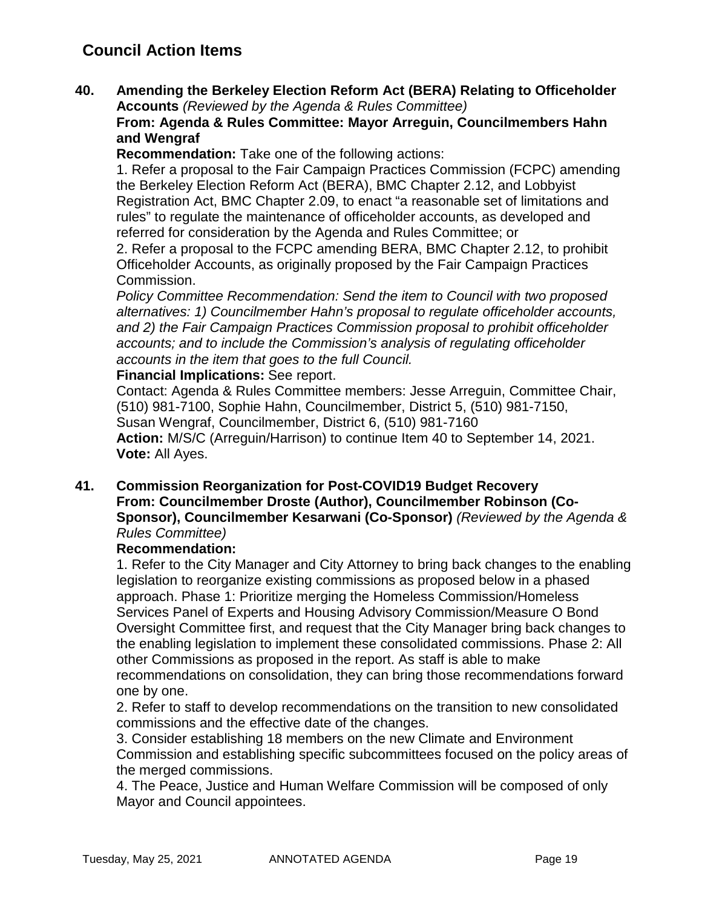## **Council Action Items**

**40. Amending the Berkeley Election Reform Act (BERA) Relating to Officeholder Accounts** *(Reviewed by the Agenda & Rules Committee)*

#### **From: Agenda & Rules Committee: Mayor Arreguin, Councilmembers Hahn and Wengraf**

**Recommendation:** Take one of the following actions:

1. Refer a proposal to the Fair Campaign Practices Commission (FCPC) amending the Berkeley Election Reform Act (BERA), BMC Chapter 2.12, and Lobbyist Registration Act, BMC Chapter 2.09, to enact "a reasonable set of limitations and rules" to regulate the maintenance of officeholder accounts, as developed and referred for consideration by the Agenda and Rules Committee; or

2. Refer a proposal to the FCPC amending BERA, BMC Chapter 2.12, to prohibit Officeholder Accounts, as originally proposed by the Fair Campaign Practices Commission.

*Policy Committee Recommendation: Send the item to Council with two proposed alternatives: 1) Councilmember Hahn's proposal to regulate officeholder accounts, and 2) the Fair Campaign Practices Commission proposal to prohibit officeholder accounts; and to include the Commission's analysis of regulating officeholder accounts in the item that goes to the full Council.* 

**Financial Implications:** See report.

Contact: Agenda & Rules Committee members: Jesse Arreguin, Committee Chair, (510) 981-7100, Sophie Hahn, Councilmember, District 5, (510) 981-7150, Susan Wengraf, Councilmember, District 6, (510) 981-7160 **Action:** M/S/C (Arreguin/Harrison) to continue Item 40 to September 14, 2021. **Vote:** All Ayes.

**41. Commission Reorganization for Post-COVID19 Budget Recovery From: Councilmember Droste (Author), Councilmember Robinson (Co-Sponsor), Councilmember Kesarwani (Co-Sponsor)** *(Reviewed by the Agenda & Rules Committee)*

#### **Recommendation:**

1. Refer to the City Manager and City Attorney to bring back changes to the enabling legislation to reorganize existing commissions as proposed below in a phased approach. Phase 1: Prioritize merging the Homeless Commission/Homeless Services Panel of Experts and Housing Advisory Commission/Measure O Bond Oversight Committee first, and request that the City Manager bring back changes to the enabling legislation to implement these consolidated commissions. Phase 2: All other Commissions as proposed in the report. As staff is able to make recommendations on consolidation, they can bring those recommendations forward one by one.

2. Refer to staff to develop recommendations on the transition to new consolidated commissions and the effective date of the changes.

3. Consider establishing 18 members on the new Climate and Environment Commission and establishing specific subcommittees focused on the policy areas of the merged commissions.

4. The Peace, Justice and Human Welfare Commission will be composed of only Mayor and Council appointees.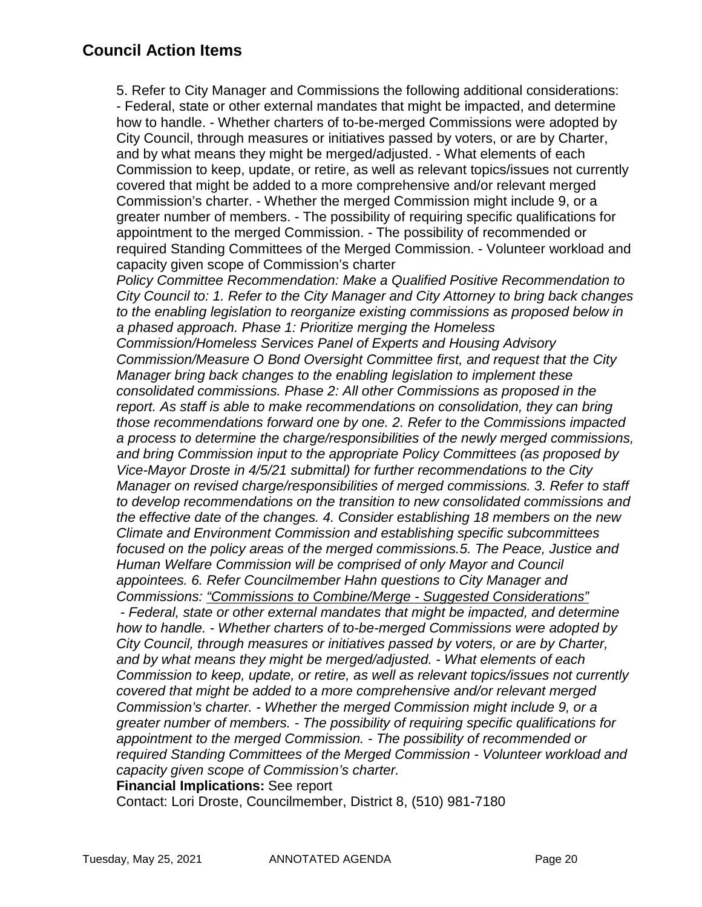5. Refer to City Manager and Commissions the following additional considerations: - Federal, state or other external mandates that might be impacted, and determine how to handle. - Whether charters of to-be-merged Commissions were adopted by City Council, through measures or initiatives passed by voters, or are by Charter, and by what means they might be merged/adjusted. - What elements of each Commission to keep, update, or retire, as well as relevant topics/issues not currently covered that might be added to a more comprehensive and/or relevant merged Commission's charter. - Whether the merged Commission might include 9, or a greater number of members. - The possibility of requiring specific qualifications for appointment to the merged Commission. - The possibility of recommended or required Standing Committees of the Merged Commission. - Volunteer workload and capacity given scope of Commission's charter *Policy Committee Recommendation: Make a Qualified Positive Recommendation to City Council to: 1. Refer to the City Manager and City Attorney to bring back changes to the enabling legislation to reorganize existing commissions as proposed below in a phased approach. Phase 1: Prioritize merging the Homeless Commission/Homeless Services Panel of Experts and Housing Advisory Commission/Measure O Bond Oversight Committee first, and request that the City Manager bring back changes to the enabling legislation to implement these consolidated commissions. Phase 2: All other Commissions as proposed in the report. As staff is able to make recommendations on consolidation, they can bring those recommendations forward one by one. 2. Refer to the Commissions impacted a process to determine the charge/responsibilities of the newly merged commissions, and bring Commission input to the appropriate Policy Committees (as proposed by Vice-Mayor Droste in 4/5/21 submittal) for further recommendations to the City Manager on revised charge/responsibilities of merged commissions. 3. Refer to staff to develop recommendations on the transition to new consolidated commissions and the effective date of the changes. 4. Consider establishing 18 members on the new Climate and Environment Commission and establishing specific subcommittees focused on the policy areas of the merged commissions.5. The Peace, Justice and Human Welfare Commission will be comprised of only Mayor and Council appointees. 6. Refer Councilmember Hahn questions to City Manager and Commissions: "Commissions to Combine/Merge - Suggested Considerations" - Federal, state or other external mandates that might be impacted, and determine how to handle. - Whether charters of to-be-merged Commissions were adopted by City Council, through measures or initiatives passed by voters, or are by Charter, and by what means they might be merged/adjusted. - What elements of each Commission to keep, update, or retire, as well as relevant topics/issues not currently covered that might be added to a more comprehensive and/or relevant merged Commission's charter. - Whether the merged Commission might include 9, or a greater number of members. - The possibility of requiring specific qualifications for appointment to the merged Commission. - The possibility of recommended or required Standing Committees of the Merged Commission - Volunteer workload and capacity given scope of Commission's charter.*

**Financial Implications:** See report

Contact: Lori Droste, Councilmember, District 8, (510) 981-7180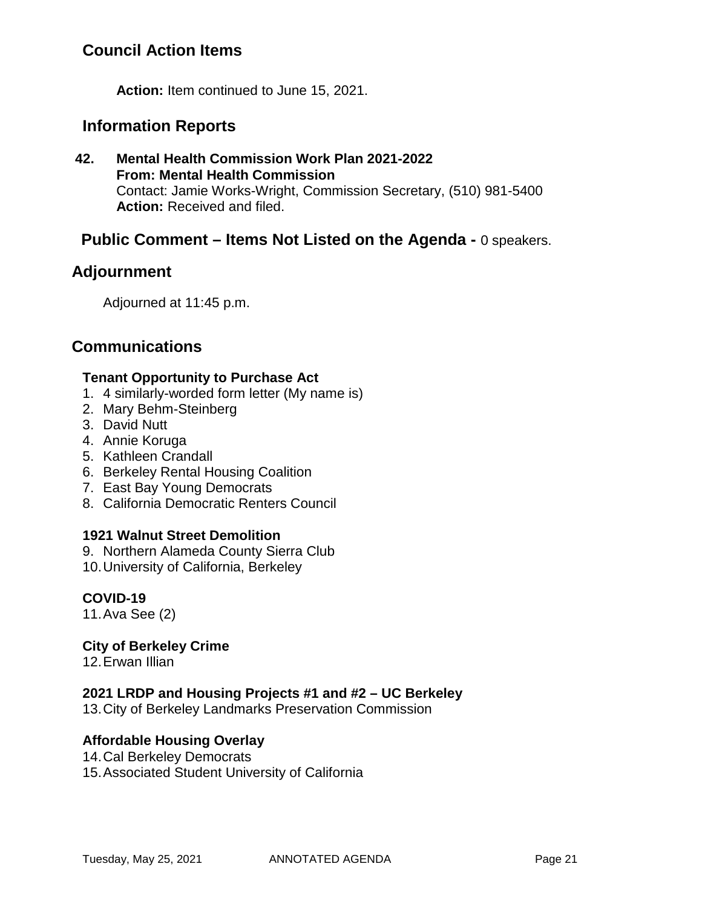## **Council Action Items**

**Action:** Item continued to June 15, 2021.

### **Information Reports**

**42. Mental Health Commission Work Plan 2021-2022 From: Mental Health Commission** Contact: Jamie Works-Wright, Commission Secretary, (510) 981-5400 **Action:** Received and filed.

## **Public Comment – Items Not Listed on the Agenda -** 0 speakers.

## **Adjournment**

Adjourned at 11:45 p.m.

### **Communications**

#### **Tenant Opportunity to Purchase Act**

- 1. 4 similarly-worded form letter (My name is)
- 2. Mary Behm-Steinberg
- 3. David Nutt
- 4. Annie Koruga
- 5. Kathleen Crandall
- 6. Berkeley Rental Housing Coalition
- 7. East Bay Young Democrats
- 8. California Democratic Renters Council

#### **1921 Walnut Street Demolition**

- 9. Northern Alameda County Sierra Club
- 10.University of California, Berkeley

#### **COVID-19**

11.Ava See (2)

#### **City of Berkeley Crime**

12.Erwan Illian

#### **2021 LRDP and Housing Projects #1 and #2 – UC Berkeley**

13.City of Berkeley Landmarks Preservation Commission

#### **Affordable Housing Overlay**

- 14.Cal Berkeley Democrats
- 15.Associated Student University of California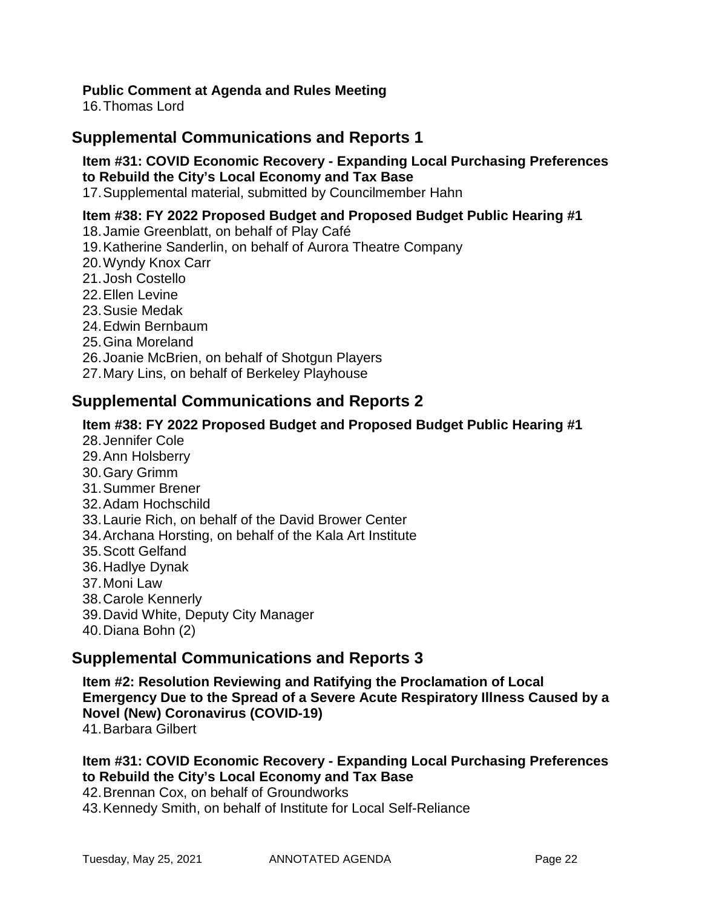### **Public Comment at Agenda and Rules Meeting**

16.Thomas Lord

## **Supplemental Communications and Reports 1**

### **Item #31: COVID Economic Recovery - Expanding Local Purchasing Preferences to Rebuild the City's Local Economy and Tax Base**

17.Supplemental material, submitted by Councilmember Hahn

#### **Item #38: FY 2022 Proposed Budget and Proposed Budget Public Hearing #1**

- 18.Jamie Greenblatt, on behalf of Play Café
- 19.Katherine Sanderlin, on behalf of Aurora Theatre Company
- 20.Wyndy Knox Carr
- 21.Josh Costello
- 22.Ellen Levine
- 23.Susie Medak
- 24.Edwin Bernbaum
- 25.Gina Moreland
- 26.Joanie McBrien, on behalf of Shotgun Players
- 27.Mary Lins, on behalf of Berkeley Playhouse

### **Supplemental Communications and Reports 2**

#### **Item #38: FY 2022 Proposed Budget and Proposed Budget Public Hearing #1**

- 28.Jennifer Cole
- 29.Ann Holsberry
- 30.Gary Grimm
- 31.Summer Brener
- 32.Adam Hochschild
- 33.Laurie Rich, on behalf of the David Brower Center
- 34.Archana Horsting, on behalf of the Kala Art Institute
- 35.Scott Gelfand
- 36.Hadlye Dynak
- 37.Moni Law
- 38.Carole Kennerly
- 39.David White, Deputy City Manager
- 40.Diana Bohn (2)

### **Supplemental Communications and Reports 3**

**Item #2: Resolution Reviewing and Ratifying the Proclamation of Local Emergency Due to the Spread of a Severe Acute Respiratory Illness Caused by a Novel (New) Coronavirus (COVID-19)**

41.Barbara Gilbert

### **Item #31: COVID Economic Recovery - Expanding Local Purchasing Preferences to Rebuild the City's Local Economy and Tax Base**

42.Brennan Cox, on behalf of Groundworks

43.Kennedy Smith, on behalf of Institute for Local Self-Reliance